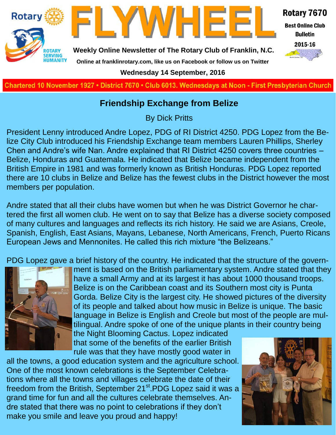

**Charted November 29, 1927 • District 7670 • Club 6013 Wednesdays at Noon - First Presbyterian Church**

#### **Friendship Exchange from Belize**

By Dick Pritts

President Lenny introduced Andre Lopez, PDG of RI District 4250. PDG Lopez from the Belize City Club introduced his Friendship Exchange team members Lauren Phillips, Sherley Chen and Andre's wife Nan. Andre explained that RI District 4250 covers three countries – Belize, Honduras and Guatemala. He indicated that Belize became independent from the British Empire in 1981 and was formerly known as British Honduras. PDG Lopez reported there are 10 clubs in Belize and Belize has the fewest clubs in the District however the most members per population.

Andre stated that all their clubs have women but when he was District Governor he chartered the first all women club. He went on to say that Belize has a diverse society composed of many cultures and languages and reflects its rich history. He said we are Asians, Creole, Spanish, English, East Asians, Mayans, Lebanese, North Americans, French, Puerto Ricans European Jews and Mennonites. He called this rich mixture "the Belizeans."

PDG Lopez gave a brief history of the country. He indicated that the structure of the govern-



ment is based on the British parliamentary system. Andre stated that they have a small Army and at its largest it has about 1000 thousand troops. Belize is on the Caribbean coast and its Southern most city is Punta Gorda. Belize City is the largest city. He showed pictures of the diversity of its people and talked about how music in Belize is unique. The basic language in Belize is English and Creole but most of the people are multilingual. Andre spoke of one of the unique plants in their country being the Night Blooming Cactus. Lopez indicated

that some of the benefits of the earlier British rule was that they have mostly good water in

all the towns, a good education system and the agriculture school. One of the most known celebrations is the September Celebrations where all the towns and villages celebrate the date of their freedom from the British, September 21<sup>st</sup>.PDG Lopez said it was a grand time for fun and all the cultures celebrate themselves. Andre stated that there was no point to celebrations if they don't make you smile and leave you proud and happy!

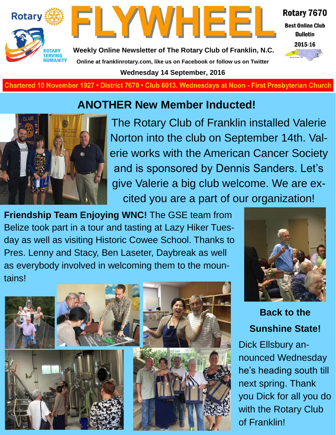



Rotary 7670

**Best Online Club Bulletin** 2015-16



**Weekly Online Newsletter of The Rotary Club of Franklin, N.C. Online at franklinrotary.com, like us on Facebook or follow us on Twitter Wednesday 14 September, 2016**

Chartered 10 November 1927 • District 7670 • Club 6013. Wednesdays at Noon - First Presbyterian Church

### **ANOTHER New Member Inducted!**



The Rotary Club of Franklin installed Valerie Norton into the club on September 14th. Valerie works with the American Cancer Society and is sponsored by Dennis Sanders. Let's give Valerie a big club welcome. We are excited you are a part of our organization!

**Friendship Team Enjoying WNC!** The GSE team from Belize took part in a tour and tasting at Lazy Hiker Tuesday as well as visiting Historic Cowee School. Thanks to Pres. Lenny and Stacy, Ben Laseter, Daybreak as well as everybody involved in welcoming them to the mountains!





**Back to the Sunshine State!**

Dick Ellsbury announced Wednesday he's heading south till next spring. Thank you Dick for all you do with the Rotary Club of Franklin!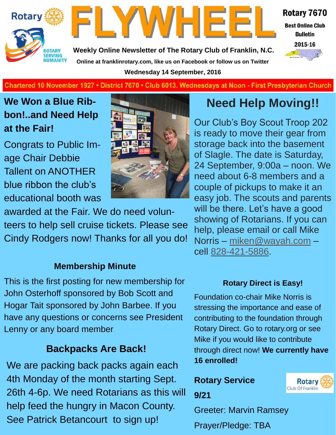



Rotary 7670

**Best Online Club Bulletin** 

**Weekly Online Newsletter of The Rotary Club of Franklin, N.C. Online at franklinrotary.com, like us on Facebook or follow us on Twitter Wednesday 14 September, 2016**



**Charted November 29, 1927 • District 7670 • Club 6013 Wednesdays at Noon - First Presbyterian Church**

### **We Won a Blue Ribbon!..and Need Help at the Fair!**

Congrats to Public Image Chair Debbie Tallent on ANOTHER blue ribbon the club's educational booth was



awarded at the Fair. We do need volunteers to help sell cruise tickets. Please see Cindy Rodgers now! Thanks for all you do!

#### **Membership Minute**

This is the first posting for new membership for John Osterhoff sponsored by Bob Scott and Hogar Tait sponsored by John Barbee. If you have any questions or concerns see President Lenny or any board member

#### **Backpacks Are Back!**

We are packing back packs again each 4th Monday of the month starting Sept. 26th 4-6p. We need Rotarians as this will help feed the hungry in Macon County. See Patrick Betancourt to sign up!

## **Need Help Moving!!**

Our Club's Boy Scout Troop 202 is ready to move their gear from storage back into the basement of Slagle. The date is Saturday, 24 September, 9:00a – noon. We need about 6-8 members and a couple of pickups to make it an easy job. The scouts and parents will be there. Let's have a good showing of Rotarians. If you can help, please email or call Mike Norris – [miken@wayah.com](mailto:miken@wayah.com) – cell [828-421-5886.](tel:828-421-5886)

#### **Rotary Direct is Easy!**

Foundation co-chair Mike Norris is stressing the importance and ease of contributing to the foundation through Rotary Direct. Go to rotary.org or see Mike if you would like to contribute through direct now! **We currently have 16 enrolled!**

# **Rotary Service**



**9/21**

Greeter: Marvin Ramsey

Prayer/Pledge: TBA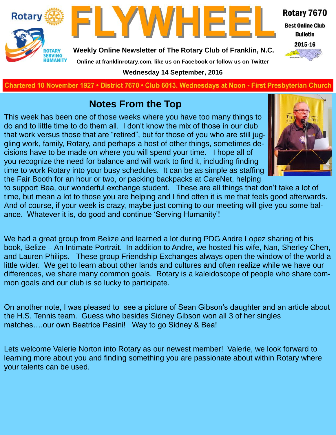



Rotary 7670 **Best Online Club Bulletin** 

2015-16

**Weekly Online Newsletter of The Rotary Club of Franklin, N.C.**

#### **Online at franklinrotary.com, like us on Facebook or follow us on Twitter**

**Wednesday 14 September, 2016**

**Charted November 29, 1927 • District 7670 • Club 6013 Wednesdays at Noon - First Presbyterian Church**

### **Notes From the Top**

This week has been one of those weeks where you have too many things to do and to little time to do them all. I don't know the mix of those in our club that work versus those that are "retired", but for those of you who are still juggling work, family, Rotary, and perhaps a host of other things, sometimes decisions have to be made on where you will spend your time. I hope all of you recognize the need for balance and will work to find it, including finding time to work Rotary into your busy schedules. It can be as simple as staffing the Fair Booth for an hour or two, or packing backpacks at CareNet, helping



to support Bea, our wonderful exchange student. These are all things that don't take a lot of time, but mean a lot to those you are helping and I find often it is me that feels good afterwards. And of course, if your week is crazy, maybe just coming to our meeting will give you some balance. Whatever it is, do good and continue 'Serving Humanity'!

We had a great group from Belize and learned a lot during PDG Andre Lopez sharing of his book, Belize – An Intimate Portrait. In addition to Andre, we hosted his wife, Nan, Sherley Chen, and Lauren Philips. These group Friendship Exchanges always open the window of the world a little wider. We get to learn about other lands and cultures and often realize while we have our differences, we share many common goals. Rotary is a kaleidoscope of people who share common goals and our club is so lucky to participate.

On another note, I was pleased to see a picture of Sean Gibson's daughter and an article about the H.S. Tennis team. Guess who besides Sidney Gibson won all 3 of her singles matches….our own Beatrice Pasini! Way to go Sidney & Bea!

Lets welcome Valerie Norton into Rotary as our newest member! Valerie, we look forward to learning more about you and finding something you are passionate about within Rotary where your talents can be used.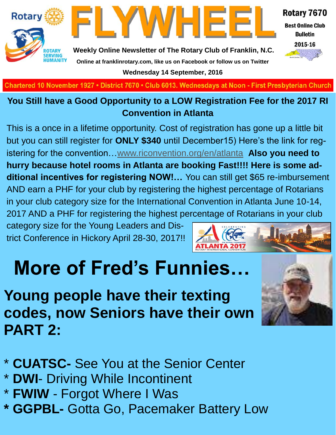

**Best Online Club Bulletin** 

2015-16



**Weekly Online Newsletter of The Rotary Club of Franklin, N.C. Online at franklinrotary.com, like us on Facebook or follow us on Twitter Wednesday 14 September, 2016**

FLYWHEE

**Charted November 29, 1927 • District 7670 • Club 6013 Wednesdays at Noon - First Presbyterian Church**

#### **You Still have a Good Opportunity to a LOW Registration Fee for the 2017 RI Convention in Atlanta**

This is a once in a lifetime opportunity. Cost of registration has gone up a little bit but you can still register for **ONLY \$340** until December15) Here's the link for registering for the convention…[www.riconvention.org/en/atlanta](http://www.riconvention.org/en/atlanta) **Also you need to hurry because hotel rooms in Atlanta are booking Fast!!!! Here is some additional incentives for registering NOW!…** You can still get \$65 re-imbursement AND earn a PHF for your club by registering the highest percentage of Rotarians in your club category size for the International Convention in Atlanta June 10-14, 2017 AND a PHF for registering the highest percentage of Rotarians in your club

category size for the Young Leaders and District Conference in Hickory April 28-30, 2017!!



# **More of Fred's Funnies…**

# **Young people have their texting codes, now Seniors have their own PART 2:**



\* **CUATSC-** See You at the Senior Center

- \* **DWI** Driving While Incontinent
- \* **FWIW** Forgot Where I Was
- **\* GGPBL-** Gotta Go, Pacemaker Battery Low